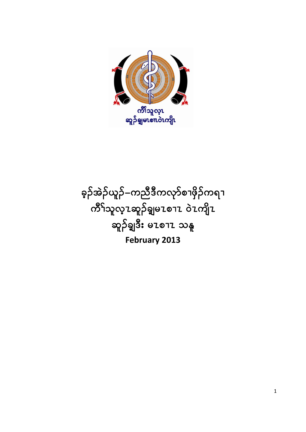ခဲ့ဉ်အဲဉ်ယူဉ်–ကညီဒီကလုာ်စၢဖှိဉ်ကရၢ ကိ်<sup>ရ</sup>သူလူ႗ဆူဉ်ချမ႗စၫ႗ ဝဲ႗ကျိ႗ ဆူဉ်ချ**ဒိး** မၤစၫၤ သနူ **February 2013**

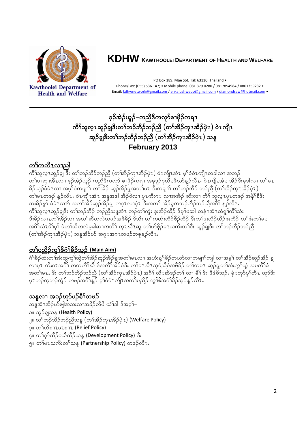

**Health and Welfare** 

# KDHW KAWTHOOLEI DEPARTMENT OF HEALTH AND WELFARE

PO Box 189, Mae Sot, Tak 63110, Thailand . Phone/Fax: (055) 536 147; • Mobile phone: 081 379 0280 / 0817854984 / 0801359232 • Email: kdhwnetwork@gmail.com / ehkalushweoo@gmail.com / diamondsaw@hotmail.com .

# ခွဉ်အဲ့ဉ်ယူဉ်–ကညီဒီကလုာ်စၢဖိုဉ်ကရၢ ကိ်္ဂါသူလူၤဆူဉ်ရှုဒီးတၫ်ဘဉ်ဘိဉ်ဘဉ်ညီ (တၫ်အိႆဉ်ကုၤအိႆဉ်ပုဲ႑) ဝဲၤကျိၤ ဆူဉ်ရှုဒီးတၢ်ဘဉ်ဘီဉ်ဘဉ်ညီ (တၢ်အီဉ်ကုၤအီဉ်ပဲုၤ) သန္ဒ February 2013

# <u>တၢ်ကတိၤလၢညါ</u>

ကိ်္ဂသူလူၤဆူဉ်ချု ဒီး တၫ်ဘဉ်ဘီဉ်ဘဉ်ညီ (တၫ်အီဉ်ကုၤအီဉ်ပုံၤ) ဝဲၤကျိၤအံၤ မ့ၢ်ဝဲဝဲၤကျိၤတခါလ႑အဘဉ် တၢ်ပၢဆုၫအိၤလ႑ ခ့ဉ်အဲဉ်ယူဉ် ကညီဒီကလုာ် စၫဖိုဉ်ကရ႑ အစုဒုဉ်စုတီၤဖီလာ်နှဉ်လီၤႉ ဝဲၤကျိၤအံၤ အိဉ်ဒီးမူဒါလ႑ တၢ်မၤ -<br>ခြဉ်သူဉ်ခံမံ Lလ٦ အမ္နါဝဲကမျ٦ာ် တၫ်အိဉ် ဆူဉ်အိဉ်ချအတ႑်မ႗ ဒီးကမျ٦ာ် တ႑်ဘဉ်ဘီဉ် ဘဉ်ညီ (တ႑်အီဉ်ကု zအီဉ်ပုံ z ) တၫ်မၤတဖဉ် န္ဥ်ာလီၤႉ ဝဲၤကျိၤအံၤ အမူအဒါ အိုဥ်ဝဲလၢ ပုၤကိႏဂၤ လၢအအိဉ် ဆိႏလၢ ကိြ သူလူၤပူၤတဖဉ် အနီၫိခ်ိဒီး သးခိဉ်နှာ် ခံမံၤလက် အတၫ်အိဉ်ဆူဉ်အိဉ်ချ ကဂ္႑လၢပုဲ႑ ဒီးအတ႑် အိဉ်မူကဘဉ်ဘိဉ်ဘဉ်ညီအဂိ်၊ နှဉ်လီၤ. ု<br>ကိ်ၤသူလူၤဆူဉ်ချဒီး တၫ်ဘဉ်ဘီဉ် ဘဉ်ညီသနုအံၤ ဘဉ်တၫ်ကွဲး ဒုးအိဉ်ထိဉ် ဒ်မှၢ်မဆါ တန်ၤအံၤထံရှ<sup>်</sup>၊ကိၢသဲး ဒီးခိဉ်ယ႑ၤတၫ်အိဉ်သး အတ႑်ဆီတလဲတဖဉ်အဖီခိဉ် ဒ်သိး တ႑်ကဟံးထိဉ်ဖိဉ်ထိဉ် ဒီးတ႑်ဒုးလိဉ်ထိဉ်ဖူးထိဉ် တ႑်ဖံးတ႑်မၤ အမိ<sup>ု်</sup>လံၤမိ<sup>ု</sup>ပှ<sup>ြ</sup> ဖဲတ<sup>ှ</sup>ဆီတလဲခ့ခါဆၢကတိ်၊ တုၤဃီၤဆူ တၢ်ဟ်ဖိုဉ်မၤသကိႏတၤ်ဒီး ဆူဉ်ချဒီး တၢ်ဘဉ်ဘိဉ်ဘဉ်ညီ (တၫ်အိဉ်ကုၤအိဉ်ပှဲ႑) သနူအိဉ်ဟ် အဂုၤအဂၤတဖဉ်တစုန့ဉ်လီၤ.

# <u>တ႑်ပညိဉ်ကျွှုစိဂုံ၂နိဉ်သူဉ် (Main Aim)</u>

ဂံ<sup>ရ</sup>ခိဉ်ထံးတ<sup>ရ</sup>အံးထွဲကွ<sup>ရ</sup>ထွဲတ<sup>ရ</sup>အိဉ်ဆူဉ်အိဉ်ချအတ<sup>ရ</sup>ပေလၢ အဟံးန့<sup>ရ</sup>ခိဉ်တဃာ်လၢကမျၢာ်ကျါ လၢအမ့<sup>ရ</sup> တ<sup>ရ</sup>အိဉ်ဆူဉ်အိဉ် ချ ့ … …<br>လၢပုၤ ကိႏဂၤအဂီ၂် တကတိၢ်ဃီ ဒ်အလိၢ်အိဉ်ဝဲဒီး တၫ်မၤအီၤသ္ဝဲညီဝဲအဖီခိဉ် တၫ်ကမၤ ဆူဉ်ချတၫ်အံးကွၢ်ထွဲ အပတိၫ်ခံ ပု1ဘဉ်ကူဘဉ်ကွဲဉ် တဖဉ်အဂိၢ်န္ ဉ် မ့ၢ်ဝဲဝဲ1ကျိၤအတၤ်ပညိဉ် ကျွဲစိအင်္ဂါခိဉ်သူဉ်နူဉ်လီ1.

# <u>သန္ဓလၢ အပဉ်ဃုာ်ပဉ်ရိံ ါတဖဉ်</u>

သန္နအံၤအိဉ်ဟ်ဖျါအသးလၢအခိဉ်တီဖိ ယဲ််ျခါ ဒ်အမ့််၊– ာ။ ဆူဉ်ချသန္မ (Health Policy) ၂။ တ<sup>ှ</sup>ဘဉ်ဘိဉ်ဘဉ်ညီသနု (တ<sup>ှ</sup>အိဉ်ကုၤအိဉ်ပုဲၤ) (Welfare Policy) ၃။ တ<sup>ှ</sup>တိစၫzမzစၫz (Relief Policy) ၄။ တ<sup>5</sup>က်ထိဉ်ပသီထိဉ်သန္ (Development Policy) ဒီး ၅။ တ<sup>5</sup>မၤသကိႏတ<sup>5</sup>သန္ (Partnership Policy) တဖဉ်လီၤ.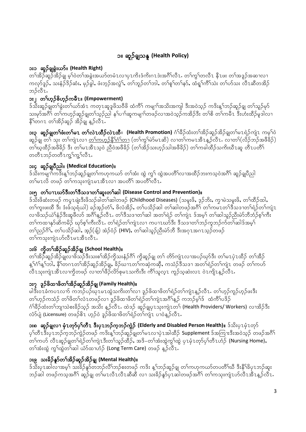# ၁။ ဆူဉ်ချသန္ (Health Policy)

### ား၁ ဆူဉ်ချုရွဲးယာ်။ (Health Right)

တၢ်အိဉ်ဆူဉ်အိဉ်ရျှ မ့ၢ်ဝဲတၢ်အခွဲးအယာ်တမံၤလၢပုၤကိးဒံကိႏဂၤဒဲးအဂ်ိၢလိၤႉ တၢ်ကွၢ်တလီၤ နီၤဖး တၢ်အဒူဉ်အဆၢလၢ ကလုာ်ဒူဉ်, သးနံ့ဉ်ဒိဉ်ဆံး, မှဉ်ခွါ, ဖံးဘူဉ်အလွဲ ်, တ ်ဘူဉ်တ ်ဘါ, တ ်ုစူ်တ ်နာ်, ထံရှ ်ကိ်သဲး တ ်ဟ်သး လီၤဆီတအိဉ် ဘဉ်လီ7.

### ား ၊ တ<sup>5ု</sup>ဟ္နဉ်စိဟ္နဉ်ကမ်ဳိၤ။ (Empowerment)

ဒ်သိးဆူဉ်ချုတ်ခြွဲးတ်ယာ်အံ႑ ကတု႑ဆူဒူဖိသဝီဖို ထံကိ်ံ ကမျာာ်အသိးအကျါ ဒီးအဝဲသုဉ် ကဒိးန္ ာ်ဘဉ်ဆူဉ်ချု တာ်သူဉ်မှာ် သးမှာ်အဂိီ<sup>ရ</sup> တ<sup>ရ</sup>ကဟုဉ်ဆူဉ်ချတ<sup>ရ</sup>သူဉ်ညါ နှၤ်ပၢါဆူကမျၤာ်တဖဉ်လၢအဝဲသုဉ်ကအိဉ်ဒီး တ<sup>ရ</sup>စိ တ<sup>ရ</sup>ကမီၤ ဒီးဟံးထိဉ်မှုဒါလၢ နိ<sup>5</sup>တဂၤ တၢ်အိဉ်ဆူဉ် အိဉ်ချ န့ဉ်လီၤ.

**း၃ ဆူဉ်ရှုတၫ်ဖံးတၫ်မ႗ တၫ်လဲ႗ထိဉ်လဲ႗ထိ။ (Health Promotion)** ဂံ<sup>ရှိ</sup>ခိုင်္ထားတၫ်အိဉ်ဆူဉ်အိဉ်ရှုတၫ်မ႗ရဲဉ်ကျဲ႗ ကမ့ၢ်ဝဲ ဆူဉ်ချ တ<sup>ရ</sup> သုး တ<sup>ရ</sup>ကျဲၤလၢ <u>တ<sup>ရ</sup>ကယ့်ဉ်နိ<sup>ု</sup>်ဂရာ်တ</u>၊ (တရ်ကျွန်မဲာ်မၤဆိ) လၢတရကမၤအီၤန္ဥာ်လီၤႉ လၢတရ်(လိဉ်ဘဉ်အဖီခိဉ်) တၢ်ဃ္ခထိဉ်အဖီခိဉ် ဒီး တၢ်မၤအီၤသ္ဝဲ ညီဝဲအဖီခိဉ် (တၢ်အိဉ်သးဟုဉ်သါအဖီခိဉ်) တၢ်ကခါထိဉ်သကိးဃီၤဆူ တီၤပတိၢ် တတီၤဘဉ်တတီၤကျွှ်ကျွှ်လီၤ.

### ား၄ ဆူဉ်ချပိဳညါ။ (Medical Education)။

ဒ်သိးကမျาၫ်ကဒိးန္ ၊်ဘဉ်ဆူဉ်ချုတၫ်ကဟုကယာ် တၫ်အံး ထွဲ ကွ႑် ထွဲအပတိၢ်လၢအထိဉ်ဘးကသ့ဝဲအဂိ်ၢ် ဆူဉ်ချပီညါ တၢ်မၤလိ တဖဉ် တၢ်ကသုးကျဲၤမၤအီၤလၢ အပတိၢ် အပတိၢ်လီၤ.

### ား၅ တ`iပၫzဃာ်ဒီးတ`iဒီသဒၢတ`iဆူးတ`iဆါ (Disease Control and Prevention)။

ဒ်သိးဖိဆံးတဖဉ် ကပူၤဖျဲးဒီးဖိသဉ်ခါတ<sup>5ု</sup>ဆါတဖဉ် (Childhood Diseases) (သမူးဖိ, ဒ္*ဉ်*ဘိး, ကွၫမဲသမူးဖိ, တ<sup>5</sup>ထိဉ်ထါ, တၢ်ကူးဖးထိ ဒီး ဒံးဖ်သ့ရံယါ) ခဉ်အ့ဉ်တံၢ်, ဖိလံအိဉ်, တၢ်ပသိဉ်ဆါ တၢ်ဆါတဖဉ်အဂိ်ၢ တၢ်ကမၤတၢ်ဒီသဒၢတၢ်ရဲဉ်တၢ်ကျဲၤ လၢဖိသဉ်ယဲ််နဉ်ဒီးဆူဖီလာ် အဂိ်ၢန့ဉ်လီၤႉ တၢ်ဒီသဒၢတၢ်ဆါ အတၢ်ရဲဉ် တၢ်ကျဲၤ ဒ်အမှၤ် တၢ်ဆါသူဉ်ညီးမဲာ်ဘီဘံဉ်စ့ၢ်ကီး တၢ်ကထၢနှာ်ဆိကမိဉ် ဃှာ်စ့ၢ်ကီးလိ1. တၢ်ရဲဉ်တၢ်ကျဲၤလၢ ကပၢၤဃာ်ဒီး ဒီသဒၢတၢ်ဘဉ်ကူဘဉ်က်တၢ်ဆါဒ်အမှ၊် တၢ်ညှဉ်ဂိၢ်, တၢ်ပသိဉ်ဆါ, အ့ဉ်(ချ်) အဲဉ်ဝံဉ် (HIV), တၢ်ဆါသူဉ်ညီးမဲာ်ဘီ ဒီးအဂုၤအဂၤသ့ဉ်တဖဉ် တၢ်ကသုးကျဲၤဟ်လီၤမၤအီၤလီၤ.

### ား၆ ကွိတ<sup>5ု</sup>အိဉ်ဆူဉ်အိဉ်ချ (School Health)။

တၫ်အိဉ်ဆှဉ်အိဉ်ချလၢဖိသဉ်ဒီးသးစၢ်အိဉ်ကိုသးနံဉ်ဂိၢ် ကိုဆူဉ်ချ တ႑် တိာ်ကျဲၤလၢအပဉ်ဃှာ်ဒီး တ႑်မၤပုဲၤထီဉ် တ႑်အိဉ် နှ့ါ်ဂျနှ်ါဘါ, နိ်ါတဂၤတါအိဉ်ဆူဉ်အိဉ်ချ့, ခိဉ်ဃ႑တါကဆဲုကဆို, ကသံဉ်ဒီသဒၢ အတါရဲဉ်တါကျဲၤ တဖဉ် တါကဟ် လီၤသုးကျဲၤအီၤလၢကိုတဖဉ် လၢတၢ်ဖိဉ်လိာ်စုမၤသကိးဒီး ကိၢ်သူလူၤ ကူဉ်သူဆဲးလၤ ဝဲၤကျိၤန္ဥာ်လီၤႉ

## ား၇ ဒူဉ်ဖိထၢဖိတၫ်အိဉ်ဆူဉ်အိဉ်ချု (Family Health)။

မါဒီးဝၤခံကပၤလက် ကဘဉ်ပဉ်ဃုၤမၤထွဲသကိးတၤ်လၢ ဒူဉ်ဖိထၢဖိတၤ်ရဲဉ်တၤ်ကျဲၤန္ဥာ်လီၤႉ တၤ်ဟုဉ်ကူဉ်ဟုဉ်ဖးဒီး တ<sup>ှ</sup>ဟ့ဉ်ကသံဉ် တ<sup>ှ</sup>ဖိတ<sup>ှ</sup>လံၤတဖဉ်လၢ ဒူဉ်ဖိထၢဖိတၢ်ရဲဉ်တၢ်ကျဲၤအဂိၢ်န့ဉ် ကဘဉ်မ့<sup>ှ</sup>ဒ် ထံကိ်ၢပဒိဉ် ဂံ<sup>ရှိ</sup>ခိုင်္လားတ<sup>ရ</sup>ဘျာသဲစးခိဉ်သုဉ် အသိး န့ဉ်လီၤ. ထဲဒဉ် ဆူဉ်ချပုၤသုးကျဲၤတ<sup>၎</sup> (Health Providers/ Workers) လၢအိဉ်ဒီး လံာ်ပျဲ (Licensure) တဖဉ်၆1 ဟုဉ်ဝဲ ဒူဉ်ဖိထၢဖိတၢ်ရဲဉ်တၢ်ကျဲၤ ပၢဝဲန္ဥာ်လီၤ.

**း၈ ဆူဉ်ချုလၢ မှံၤတု၁်ပှ<sup>င်</sup>တီၤ ဒီးပှၤဘဉ်က့ဘဉ်ကွဲဉ် (Elderly and Disabled Person Health)။ ဒ်သိးပှၤမှံၤတု၁်** ပု်တီၤဒီးပုၤဘဉ်က့ဘဉ်ကွဲဉ်တဖဉ် ကဒိးန့်္ာဘဉ်ဆူဉ်ချုတ်မၤလၢပှဲၤအါထိဉ် Supplement ဒ်အကြားဒီးအဝဲသ့ဉ် တဖဉ်အဂိ်္ဂ တၫ်ကဟ် လီၤဆူဉ်ချုတၫ်ရဲဉ်တၫ်ကျဲၤဒီးတၫ်သူဉ်ထိဉ်ႇ အဒိ–တၫ်အံးထွဲကွၢ်ထွဲ ပုၤမုံၤတု၁်ပုၫ်တီၤဟံဉ် (Nursing Home), တ<sup>ှ</sup>အားထွဲ ကွ<sup>ှ</sup>ထွဲတ<sup>ှ</sup>ဆါ ယံာ်ထၢဟံဉ် (Long Term Care) တဖဉ် န့ဉ်လီၤ.

## ား၉ သးခိဉ်နူာ်တ<sup>န်</sup>အိဉ်ဆူဉ်အိဉ်ချ (Mental Health)။

ဒ်သီးပု1ဆါလ႑အမှ ်သးခိဉ်နှင်တဘဉ်လီ႑်ဘဉ်စးတဖဉ် ကဒိး န့ ်ဘဉ်ဆူဉ်ချ တ႑်ကဟုကယာ်တပတိႆၤသီ ဒီးနိံြခိပု1ဘဉ်ဆူး ဘဉ်ဆါ တဖဉ်ကသ့အဂိိ<sup>ု</sup> ဆူဉ်ချု တ<sup>နု</sup>မၤလီၤလီၤဆီဆီ လၢ သးခိဉ်နူာ်ပုၤဆါတဖဉ်အဂိိ<sup>န</sup> တ<sup>န</sup>ကသုးကျဲၤဟ်လီၤအီၤန့ဉ်လီၤ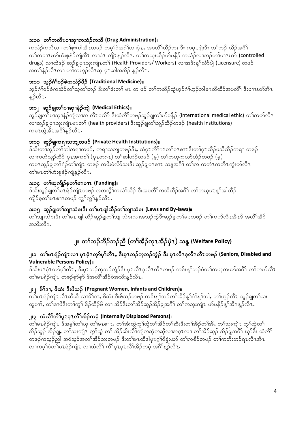### ား၁၀ တ<sup>5</sup>ကတိ1ပၫဆုၫကသံဉ်ကသိ (Drug Administration)။

ကသံဉ်ကသီလ1 တၫ်စူးကါအီ1တဖဉ် ကမ္နဂ်ဝဲအင်္ဂါလၢပုဲ1, အပတိႆၢထိဉ်ဘး ဒီး ကပူ1ဖျဲးဒီး တၢ်ဘဉ် ယိဉ်အဂိံ၊ တၢ်ကပ႑ၤဃာ်ဟံးစုနဲ့ဉ်ကျဲအီၤ လၢဝဲၤ ကျိၤန္ဥာ်လီၤႉ တၢ်ကထုးထိဉ်ဟ်ပနိဉ် ကသံဉ်လၢဘဉ်တၢ်ပ႑ၤဃာ် (controlled drugs) လၢထဲဒဉ် ဆူဉ်ရွုပုၤသုးကျဲၤတ႑် (Health Providers/ Workers) လၢအဒိးန္ ်ာလံာ်ပျဲ (Licensure) တဖဉ် အတၢ်နဲဉ်လီၤလၢ တၢ်ကဟ္၄်လီၤဆူ ပုၤဆါအအိဉ် န္ဥ်လီၤ.

### **ား၁၁ သူ့ဉ်ဂံု်ဝဉ်စဲကသံ့ဉ်ဖို့ဉ် (Traditional Medicine)**။

သုဉ်ဂံၢ်ဝဉ်စဲကသံဉ်တၢ်သုတၢ်ဘဉ် ဒီးတၢ်ဖံးတၢ် မၤ တ ဖဉ် တၢ်ကဆီဉ်ထွဲဟုဉ်ဂံၢ်ဟုဉ်ဘါမၤထီထိဉ်အပတိၢ် ဒီးပၫၤဃာ်အီၤ န့ဉ်လီ႗.

### **ား၁၂ ဆူဉ်ရွှုတ<sup>5</sup>ပၫဆု႑နဲ့ဉ်ကျဲ (Medical Ethics)**။

ဆူဉ်ချွတ်ၤပၫဆု႑နဲဉ်ကျဲလ႑အ လီ႑ပလိ႒် ဒီးထံကိ်ၤတဖဉ်ဆူဉ်ချွတၤ်ဟ်ပနိဉ် (international medical ethic) တၤ်ကဟ်လီ႑ လာဆူဉ်ချပု  $\tau$ သုးကျဲ $\tau$ မ $\tau$ တ ် (health providers) ဒီးဆူဉ်ချတ ်သူဉ်ထိဉ်တဖဉ် (health institutions) ကမၤထွဲအီၤအဂ်ိဳၤန္ ဉ်လီၤ.

### **ား၁၃ ဆူဉ်ချကရၫသဘျတဖဉ် (Private Health Institutions)**။

ဒ်သိးတၢ်ဘူဉ်တၢ်ဘါကရၢတဖဉ် $\boldsymbol{\cdot}$  ကရၢသဘျ့တဖဉ်ဒီး $\boldsymbol{\cdot}$  ထံဂုၤကိၢ်ဂၤတၢ်မၤစၢၤဒီးတၢ်ဂုၤထိဉ်ပသိထိဉ်ကရၢ တဖဉ် လၢကဟဲသူဉ်ထိဉ် ပုၤအကစ<sup>5</sup> (ပုၤတဂၤ) တ<sup>5</sup>ဆါဟံဉ်တဖဉ် (မ့) တ<sup>5</sup>ကဟုကယာ်ဟံဉ်တဖဉ် (မ့) ကမၤဆူဉ်ချုတၫ်ရဲဉ်တၢ်ကျဲၤ တဖဉ် ကဖိးမံလိာ်သးဒီး ဆူဉ်ချုမၤစၫၤ သနူအဂိၢ် တၢ်က ကတဲၤကတီၤကွဲးဟ်လီၤ တၢ်မၤတၢ်ဟံးစုနဲဉ်ကျဲန္ ့ာ်လီၤ.

### ၁း၁၄ တ<sup>ြ</sup>ဃကျိဉ်စုတ<sup>ြ</sup>မ႗စ႑ာ (Funding)။

<u>ဒ်သိးဆူဉ်ချတၢ်မzရဲဉ်ကျဲzတဖဉ် အတကွိ်ာကလဲ်ာထိဉ် ဒီးအပတိ်ာကထီထိဉ်အင်္ဂီ</u> တၢ်ကဃုမzန္ ်ာအါထိဉ် ကျိဉ်စ့တၤ်မၤစၢၤတဖဉ် ကျွဲကျွဲနှဉ်လီၤ.

### ား၁၅ ဆူဉ်ချုတ<sup>5</sup>ဘျာသဲစးဒီး တ<sup>5</sup>မ႗ ဖျါထိဉ်တ<sup>5</sup>ဘျာသဲစး (Laws and By-laws)။

တၢ်ဘျာသဲစးဒီး တၢ်မ႗ ဖျါ ထိဉ်ဆူဉ်ရှုတၢ်ဘျာသဲစးလၢအဘဉ်ထွဲဒီးဆူဉ်ရွုတၢ်မ႗တဖဉ် တၢ်ကဟ်လီ႗အီ႗ဒ် အလီၢ်အိဉ် အသိးလီ7.

# ၂။ တ<sup>န်</sup>ဘဉ်ဘိဉ်သည် (တ<sup>န်</sup>အိဉ်ကုၤအိဉ်ပှဲၤ) သနူ <mark>(Welfare Policy)</mark>

### ၂း၁ တ<sup>ရ</sup>မၤရဲဉ်ကျဲၤလၢ ပုၤမုံၤတု၁်ပု<sup>ရ</sup>တီၤ, ဒီးပုၤဘဉ်က္ခဘု်ကွဲဉ် ဒီး ပုၤလီၤဒ့လီၤတီၤတဖဉ် (Seniors, Disabled and **Vulnerable Persons Policy)**?

 $\delta$ သိးပှ $\texttt{I}$ မှံ $\texttt{I}$ တုိပျိ $\texttt{I}$ နှိ $\texttt{I}$ ဟုတ်လို $\texttt{I}$ အာ $\delta$ ကို ပျိ $\texttt{I}$ အာ $\delta$ ကို ကား $\delta$ ကာ $\delta$ ကာ $\delta$ ကာ $\delta$ ကိ $\texttt{I}$ တ<sup>ှ</sup>မzရဲဉ်ကျဲz တဖဉ်စုာ်စုာ် ဒ်အလီ်ာအိဉ်ဝဲအသိးန္ဉ်လီz**.** 

### **ုး** | မိ်္**ဒြ**ာ, ဖိဆံး ဒီးဖိသဉ် (Pregnant Women, Infants and Children)။

တၤ်မၤရဲဉ်ကျဲၤလီၤဆီဆီ လၢမိၤ်ဒၢ, ဖိဆံး ဒီးဖိသဉ်တဖဉ် ကဒိးန္ ်ာဘဉ်တၤ်အီဉ်န္ ်ုဂံၤန္ ်ုဘါ, တၤ်ဟ္ဉ်လီၤ ဆူဉ်ချုတၤ်သး ထူပၢါ်ႇ တၢ်ဒၢဖိဒီးတၢ်ကွ<sup>ရ်</sup> ဒိဉ်ထိဉ်ဖိ လၢ အိဉ်ဒီးတၢ်အိဉ်ဆူဉ်အိဉ်ချအဂိီ<sup>ရ်</sup> တၢ်ကသုးကျဲၤ ဟ်ပနိဉ်န့<sup>5</sup>အီၤန့ဉ်လီၤႇ

### ၂း၃ ထံလီ်<sup>န</sup>က်ိ<sup>န်</sup>ပူ႗ပု႗လိ်ိုအိဉ်ကမုံ (Internally Displaced Persons)။

 $\sim$ ်တ $\sim$ ်မ $\sim$ ရဲ့ $\sim$ ်အမ $\sim$ ်တ $\sim$ ်မ $\sim$ စား $\sim$  က $\sim$ ်မားတွဲက $\sim$ ကားတွဲတာ $\sim$ အိဉ်ဆူဉ် အိဉ်ချ့, တၢ်သုးကျဲၤ ကွၢ်ထွဲ တၢ် အိဉ်ဆိးလိ်ၢကျဲကဆုဲကဆိုလၢအဂ္ၤလၢ တၢ်အိဉ်ဆူဉ် အိဉ်ချူအဂိ်ၢ ဃှာ်ဒီး ထံကိ်ၢ တဖဉ်ကသုဉ်ညါ အဝဲသုဉ်အတ<sup>5</sup>အိဉ်သးတဖဉ် ဒီးတ<sup>5</sup>မzထီဒါပုzဂ္<sup>5</sup>ဝီခွဲးယာ် တ<sup>5</sup>ကစီဉ်တဖဉ် တ<sup>5</sup>ကဘိးဘဉ်ရzလီzအီz လၢကမ္ါဝဲတၢ်မၤရဲဉ်ကျဲၤ လၢထံလိ်ၤ ကိ်ၤပူးပုၤလိၤ်အိဉ်ကမုံ အင်္ဂါန္ဉ်လီၤ.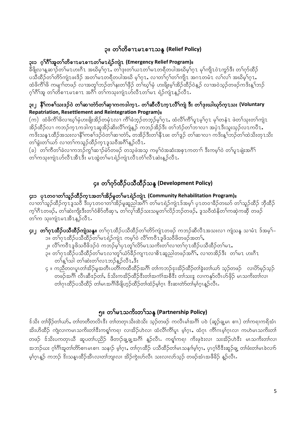### ၃။ တ<sup>5</sup>တိစၫ႗မ႗စၫ႗သန္ (Relief Policy)

### ၃း၁ ဂုၢိဂိၢိအူတၢိတိစၫzမzစၫzတၢိမzရဲဉ်ကျဲz (Emergency Relief Program)။

ခ်ီဖိျလၢန္ ဆၢဉ်တၫ်မၤဟးဂ်ီၤ အဃိမ့ၢ်ဂူၤ, တ႑်ဒုးတ႑်ယၤတ႑်မၤတရီတပါအဃိမ့ၢ်ဂူၤ မှၢ်ကျိၤဝဲၤကွာ်ဒီး တ႑်က်ထိဉ် ပသီထိဉ်တၢ်တိာ်ကျဲၤဖးဒိဉ် အတၢ်မၤတရီတပါအဃိ မ့ၢ်ဂ္ၤ, လၢတၢ်ဂ္ဂၢ်တၢ်ကျိၤ အဂၤတမံၤ လၢ်လၢ် အဃိမ့ၢ်ဂ္ၤ, ထံဖိကိ််ျဖိ ကမျာ်တဖဉ် လၢအတှ်ာဘဉ်တၢ်နးတၢ်ဖိုဉ် တၢ်ဃ့ၢ်မုံ ဟးဖိုုးမ့ၢ်အိဉ်ထိဉ်ဝဲန့ဉ် လၢအဝဲသ့ဉ်တဖဉ်ကဒိးန့်ာဘဉ် ့ဂ်ဂီ်ါအူ တၢ်တိစၢၤမၤစၢၤ အဂဵိၢ တၢ်ကသုးကျဲၤဟ်လီၤတၢ်မၤ ရဲဉ်ကျဲၤန္ဥ်လီၤ

### ၃း ၊ ့ နိ်္<sup>ု</sup>ကစ္္သားဒဥ္ဝဲ တျွံဆုတဲ့၃တုနားကကအကြွား, တျွံဆီလီးက္လာလိုက္ပြဲ ဒီး တျွံဒူးယါဃုာ်က္လာသူး (Voluntary Repatriation, Resettlement and Reintegration Program)

(က) ထံဖိကိ်ၤ်ဖိလၢဃ္ရာမုံဟးဖျိးအိဉ်တမုံ႑လၢ ကိ်ၤ်ခံဘူဉ်တဘွဉ်မ့္ပ်က္ ာ ထံလိ်ၤကိ်ၤ်ပူ႑မ့္ပ်က္ ၃ မုၤ်တနံ႑ ဖဲတၤ်သုးတၤ်ကျဲ႑ အိဉ်ထိဉ်လၢ ကဘဉ်က္1ကဒါက္1ဆူအိဉ်ဆိးလိ်ၤ်ကျဲန့္ဉ် ကဘဉ်အိဉ်ဒီး တၤ်ဘံဉ်တၤ်ဘၤလၢ အပဲု1ဒီးသူးသူဉ်လ1ကပီ1, ကဒိးသန္ၤထိဉ်အသးလၫနိ်ၫ်ကစၫ်ဒဉ်ဝဲတ႑်ဆၢတဲာ်, တအိဉ်ဒီးတ႑်နီၤဖး တ႑်ဒူဉ် တ႑်ဆ႑လ႑ ကဒိးန္ ႑်ဘဉ်တ႑်ထဲသိးတုၤသိး တၢ်ခွဲးတၢ်ယာ် လၢတၢ်ကသူဉ်ထိဉ်က္1ဒူသဝီအဂိၢ်န္ဥ်လိ႑.

(ခ) တၢ်ကီတၢ်ခဲလၢကဘဉ်ကွၢ်ဆၢဉ်မဲှ်တဖဉ် တသ့ဖဲအသ့ ကမ့ၢ်ဝဲအဆံးအစုၤကတၢၢ် ဒီးကမ့ၢ်ဝဲ တၢ်ပူၤဖျဲးအဂ်ီၢ တၢ်ကသုးကျဲၤဟ်လီၤအီၤဒီး မၤထွဲတၢ်မၤရဲဉ်ကျဲၤလီၤတံၢ်လီၤဆဲးန္ဥ်လီၤ.

# ၄။ တ<sup>5</sup>က်တိဉ်ပသီထိဉ်သန္ (Development Policy)

### ၄း၁ ပုၤတဝၢတၫ်သူဉ်ထိဉ်ကူၤအတၫ်အိဉ်မူတ႑်မၤရဲဉ်ကျဲၤ (Community Rehabilitation Program)။ လၢတၢ်သူဉ်ထိဉ်က္ၤဒူသဝီ ဒီးပုၤတဝၢတၢ်အိဉ်မူဆူညါအဂိ်ၢ တၢ်မၤရဲဉ်ကျဲၤဒ်အမ့ၢ် ပုၤတဝၢခီဉ်တဃာ် တၢ်သူဉ်ထိဉ် ဘိုထိဉ် က့ါ်ဂီၤတဖဉ်ႇ တါဆဲးကျိးဒီးတါဝံစိာ်တီဆု٦ႇ တါလုါအီဉ်သးသမှုတါလိဉ်ဘဉ်တဖဉ်ႇ ဒူသဝီထံနိတါကဆုဲကဆို တဖဉ် တၢ်က သုးကျဲၤမၤအီၤန္ ဉ်လီၤ.

- ၄း၂ တ<sup>ရ</sup>ဂုၤထိိ**ဉ်ပသိထိဉ်ကျဲသန္**။ တ<sup>ရ</sup>ဂုၤထိဉ်ပသိထိဉ်တ<sup>ရ</sup>တ်ကျဲၤတဖဉ် ကဘဉ်ဆီလီၤအသးလၢ ကျဲသနူ သၢမံၤ ဒ်အမ့<sup>ရ</sup>– ၁။ တၢ်ဂုၤထိဉ်ပသီထိဉ်တၢ်မၤရဲဉ်ကျဲၤ ကမ္နၢ်ဝဲ လိၢ်ကဝီၤဒူဖိသဝီဖိတဖဉ်အတၢ်,
	- ၂။ လိ်ၤကဝီၤဒူဖိသဝိဖိဒဉ်ဝဲ ကဘဉ်မ့ၢ်ပုၤတုၤ်လိာ်မၤသကိႏတၤ်လၤတၤ်ဂုၤထိဉ်ပသီထိဉ်တၤ်မၤ,
	- ၃။ တ<sup>ှ</sup>ဂုၤထိဉ်ပသီထိဉ်တ<sup>ှ</sup>မၤလၢတု<sup>ှ</sup>ယံာ်ခိဉ်ကျၤလၢစိၤဆူညါတဖဉ်အဂိ<sup>ု</sup>, လၢတအိဉ်ဒီး တၢ်မၤ ဟးဂိၤ တၫ်န္ ၊်သါ တၫ်ဆဲးတၫ်လၤဘဉ်န္ ဉ်လီၤ,ဒီး
	- ၄ ။ ကညီတဝၢပူၤတၢ်အိဉ်မူအတီၤပတိၢ်ကထီထိဉ်အဂိၢ် တၢ်ကဘဉ်ဒုးအိဉ်ထိဉ်တၢ်ခဲ့းတၢ်ယာ် သ္ဉ်တဖဉ် \_ လၢပိဉ်မှဉ်သွဉ် တဖဉ်အဂိါ လီၤဆီးဉ်တၢ်, ဒ်သိးကအိဉ်ထိဉ်ဒီးတၢ်အကံၢ်အစီဒီး တ၊်သးဒူ လ၊ကနဉ်လီၤဟ်ဖိုဉ် မၤသကိးတ၊်လ၊ တၢ်ဂုၤထိဉ်ပသိထိဉ် တ၊်မၤအဂ်ိၢိခ်ိဖျိဟ္ဥ်ထိဉ်တၢ်ထံဉ်မ့္ပ်ဂ္ၤ ဒီးဆၢတဲာ်တ၊်မ္ပ္ပ်ဂ္ၤန္ဥ်လီၤ

### ၅။ တ<sup>5</sup>မ႗သကိႏတ<sup>5</sup>သန္ (Partnership Policy)

ဒ်သိး တ၊်ဖိုဉ်တ၊်ယာ်, တ၊်တတိတလိၤဒီး တ၊်တတုၤသိးထဲသိး သ့ဉ်တဖဉ် ကလီၤမ၊်အဂိၢ် ပဝဲ (ဆူဉ်ချ့မၤ စၢၤ) တ၊်ကရၢကရိအံၤ အိးဟိထိဉ် ကျဲလ၊ကမၤသကိးတါဒီးကၡၢ်ကရၢ လၢအိဉ်ဟဲလ၊ ထံလိါကိၢိပူၤ မ့္ပ်ဂ္၊ ထံဂုၤ ကိၢ်ဂၤမ့္ပ်ဂ္၊လ၊ ကဟဲမၤသကိးတ္၊ တဖဉ် ဒ်သိးပကတုၤယီ ဆူပတၢ်ပညိဉ် ဖီတၢဉ်ချ့ချ့အဂိါ နူဉ်လီၤႉ ကရူၢ်ကရၢ ကိႈဖုဒဲးလၢ သးအိဉ်ဟဲဒီး မၤသကိးတၢ်လၢ အဘဉ်ဃး ဂုၢိဂိၢိအူတၢ်တိာ်စၢၤမၤစၢၤ သနၢဉ် မ့ၢ်ဂုၤ, တၢ်ဂုၤထိဉ် ပသိထိဉ်တၢ်မၤသနၢၢ်မ့ၢ်ဂုၤ, ပုၤဂုၢ်ဝိဒီးဆူဉ်ချ့ တၢ်ဖံးတ၊်မၤခဲလၢာ် မ့္ပ်ပ္စ္သည္မွ် လသဉ္ ဒိုးသန္၊ထိဉ်အီးလ၊တၢ်ဘျ၊လ၊ အိဉ်ကွဲးဟ်လီၤ သးလ၊လာ်သ္၄် တဖဉ်အံၤအဖီခိဉ် န္ဥာလီၤ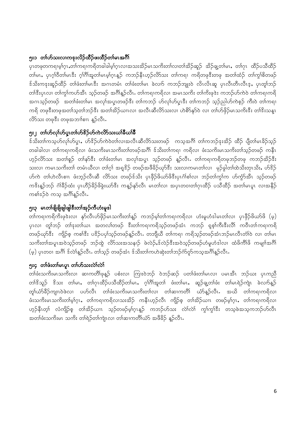### ၅း၁ တၢိတ်သးလၢကဒုးလိဉ်ထိဉ်ဖးထိဉ်တၢ်မၤအဂိၢ်

ပုၤတဖုတကၡၢမ့ၢ်ဂူၤႇတၢ်ကၡ၊ကရိတခါခါမ့ၢ်ဂူၤလၢအသးအိဉ်မၤသကိးတၢ်လၢတၢ်အိဉ်ဆူဉ် အိဉ်ချ့တၢ်မၤႇ တၢ်ဂုၤ ထိဉ်ပသိထိဉ် တါမၤ,ပုၤဂ္ဂါဝိတါမၤဒီး ဂ္ဂါဂိါအူတါမၤမ့္ဂ်ဂၤန္ ဉ် ကဘဉ်နီၤဟ္ဥလိ>်သး တါကရ္၊ ကရိတဖုဒီးတဖု အတါထံဉ် တါက္ဂါစိတဖဉ် ဒ်သိးကဒုးဆူဉ်ထိဉ် တၢ်ဖံးတ၊်မၤဒီး အဂၤတမံၤ တၢ်ဖံးတ၊်မၤ ခဲလၢာ် ကဘဉ်ဘူးဝဲ လိၤလိၤဆူ ပုၤလီၤတီၤလီၤဒ့္ ပုၤတူ၊်ဘဉ် တါဒီးပုၤလ၊ တါကွါကဟ်အီၤ သူဉ်တဖဉ် အင်္ဂါနူဉ်လီၤႉ တါကရၢကရိလ၊ အမၤသကိႏ တါကိႏဖုဒဲး ကဘဉ်ဟ်ကဲဝဲ တါကရၢကရိ အဂၤသ္ဥ်ာတဖဉ် - အတၢ်ဖီးတ၊်မၤ - အလှၢ်အပူၤတဖဉ်ဒီး- တ၊်ကဘဉ်- ဟ်လှ၊်ဟ်ပူးဒီး- တ၊်ကဘဉ်- သှဉ်ညါဟ်ကဲစ့ဉ်- ကီးဝဲ- တ၊်ကရၢ ကရိ တဖုဒီးတဖုအတၢ်သုတၢ်ဘဉ်ဒီး အတၢ်အိဉ်ယၢၤလ၊ အလီၤဆီလိ5်သးလ၊ ဟဲစိ5်နှ5်ဝဲ လ၊ တၢ်ဟ်ဖိုဉ်မၤသကိးဒီး တၢိဒိးသန္ၤ လိ>်သး တဖုဒီး တဖုအဘၢါစၢၤန္ ဉ်လီၤႉ

### ၅း၂ တၢိတ်လု၊်ဟ်ပူးတ၊်ဟ်&ှိဉ်ဟ်ကဲလိာ်သးယ၊်ခီယ၊်ခ်ီ

စ်သိးတၢ်ကသ့ဟ်လု၊်ဟ်ပူး, ဟ်<sup>စွ</sup>ဉ်ဟ်ကဲဝဲတ၊်လ၊အလီးဆီလိာ်သးတဖဉ် ကသ့အင်္ဂါ တ၊်ကဘဉ်ဒုးအိဉ် ထိဉ် ပျီတ၊်မ၊ခိဉ်သွဉ် တခါခါလ၊ တၢ်ကရၢကရိလ၊ ဖံးသကိႏမၤသကိႏတၢ်တဖဉ်အဂ်ိၢ် ဒ်သိးတၢ်ကရ၊ ကရိလ၊ ဖံးသကိႏမၤသကိႏတၢ်သ္ဥ်တဖဉ် ကနီၤ ဟ့ဉ်လိာ်သး အတၢ်စူဉ် တၢ်နာ်ဒီး တၢ်ဖံးတ၊်မၤ အလှ၊်အပူ၊ သ့ဉ်တဖဉ် နူဉ်လီၤႉ တ၊်ကရၢကရိတဖုဘဉ်တဖု ကဘဉ်အိဉ်ဒီး သးလ၊ ကမၤသကိးတ၊် တမံၤယီလ၊ တၢ်ဂ္ဂ၊် အရှုဒိဉ် တဖဉ်အဖီခိဉ်ယှာ်ဒီး သးလ၊ကမၤတၢ်လ၊ -မှဉ်ခွါတ၊်ထဲသိးတုၤသိး, ဟ်ဒိဉ် ဟ်ကဲ တ၊်ဟဲလီၤစၢၤ ဖံးဘုဉ်လီၤဆီ လိာ်သး တဖဉ်ဒ်သိး ပုၤဖိုဉ်ဖိယာ်ဖိဒီးပုၤဂံါစါလၢ ဘဉ်တၢ်ကွၢ်က ဟ်ကွဲာ်အီၤ သုဉ်တဖဉ် က<sup>ွ</sup>ိးန္**ဉ်ဘဉ် ဂံ၊ိ**ခိ်ဉထံး ပုၤဟိဉ်ခိဉ်ဖိခွဲးယာ်ဒီး ကန္**ဉ်နှ**ာ်လီၤ မၤတၢ်လၢ အပုၤတဝၢတၢ်ဂုၤထိဉ် ပသီထိဉ် အတၢ်မၤပူၤ လၢအနိဉ် ကစၢ်ံံးဉ်ဝဲ ကသူ အင်္ဂါန္ဥာလီၤႉ

### ၅း၃ မၤတၢ်ဖျိဖျိဖျါဖျါဒီးတၢ်အုဉ်ကီဟံးမှုဒါ

တာ်ကရၢကရိုကိုးဖုဒ်းလ၊ နှာ်လီၤဟ်ဖိုဉ်မၤသကိုးတာ်နှဉ် ကဘဉ်မှာ်တာ်ကရၢကရိလ၊ ဟုံးမှုဟံဒါမၤတာ်လ၊ ပုၤဖိုဉ်ဖိယာ်ဖိ (မ္) ပုၤလၢ တူါဘဉ် တၢ်ဒုးတၢ်ယၤ အတလၢ်တဖဉ် ဒီးတၢ်ကရၢကရိသ္ဥတဖဉ်အံၤ ကဘဉ် ရှစ္န၊်ကီးဒီးလိါ ကဝီၤတၢ်ကရၢကရိ တဖဉ်ယှာ်ဒီး ကျိဉ်စု ကစါဒီး ပဒိဉ်ပပုါသူဉ်တဖဉ်နှဉ်လီၤႉ တဘျိယီ တါကရၢ ကရိသ္ဥ်တဖဉ်အံၤဘဉ်မၤလီၤတံါဝဲ လၢ တါမၤ သကိႏတၢ်အပူၤအဝဲသ့ဉ်တဖဉ် ဘဉ်ထွဲ လိ5်သးအသနၢဉ် ဖဲလဲဉ်ႇန်လဲဉ်နီးအဝဲသ့ဉ်တဖဉ်ဟံမူဟံဒါလ၊ ထံဖိကိၢိဖိ ကမျ၊ၢ်အင်္ဂါ (မ္) ပုၤတ၀၊ အဂ်ိၢိ ဒ်လဲ၊်န္ဥာ်လီၤႉ တ၊်သ္ဥ် တဖဥ်အံၤ ဒ်သိးတ၊်ကဟဲဆုံးတ၊်ဘွဉ်ကံ်ဂူာ်ကသ္အာဂိၢိန္ဥာ်လီၤႉ

### ၅း၄ တ1်ဖီးတ1်မၤပူၤ တ1်ဟ်သးလဲ1်လဲ1်

တၢ်ဖံးသကိးမၤသကိးလ၊ ဆၢကတိၢ်ဖုန္ဉခ် ပစံးလ၊ ကြၤးဝဲဘဉ် ဝဲဘဉ်ဆဉ် ပတၢ်ဖံးတ၊်မၤလ၊ ပမၤအီၤ ဘဉ်ဃး ပုၤကညီ တၢိအိသူဉ် အိသး တ၊်မၤ,တၢ်ဂုၤထိဉ်ပသီထိဉ်တ၊်မၤ,ဂ္ဂါဂိၢိအူတၢ် ဖံးတ၊်မၤ, ဆူဉ်ချ့တၢ်ဖံး တ၊်မၤရဲဉ်ကျဲၤ ခဲလၢာ်နူဉ် တှၢ်ယံာ်ခ်ိဉ်ကျၤၤဝဲဖဲလ၊ ပဟ်လီၤ တၢ်ဖံးသကိးမၤသကိးတၢ်လ၊ တၢ်ဆၢကတိၢ် ယံာ်န္ဥာလီၤႉ အယိ တၢ်ကရၢကရိလ၊ ဖံးသကိးမၤသကိးတၢ်မ့္ပ်က္၊ တ္ပ္ပ်က္စရ္၊ကရိလ္၊သးအိုဉ် ကနီၤဟ္၌လီၤ ကျိဉ်စ္ တ္ပ္ပ်က္ဆိဉ်ယ္၊၊ တဖဉ်မ့္ပ်က္၊ တ္ပ္ပ်က္စရ၊ကရိလ္၊ ဟူဉ်နီၤတ္၊် လံကျိဉ်စု တ၊်အိဉ်ယၢၤ သူဉ်တဖဉ်မူ၊်ဂူၤနူဉ် ကဘဉ်ဟ်သး လဲ၊်လဲ၊် ကွ၊်ကွ၊်ဒီး တသူဖဲအသူကဘဉ်ဟ်လီၤ အတၢ်ဖံးသကိႏမၤ သကိႏ တၢ်ရဲဉ်တၢ်ကျဲၤလၢ တၢ်ဆၢကတိၢ်ယံဉ် အဖီခိဉ် နူဉ်လီၤႉ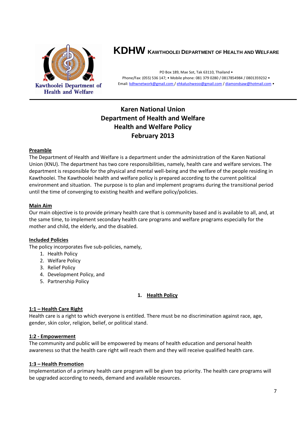

# **KDHW KAWTHOOLEI DEPARTMENT OF HEALTH AND WELFARE**

PO Box 189, Mae Sot, Tak 63110, Thailand • Phone/Fax: (055) 536 147; • Mobile phone: 081 379 0280 / 0817854984 / 0801359232 • Email[: kdhwnetwork@gmail.com /](mailto:kdhw@tttmaxnet.com) [ehkalushweoo@gmail.com](mailto:ehkalushweoo@gmail.com) [/ diamondsaw@hotmail.com](mailto:diamondsaw@hotmail.com) •

### **Karen National Union Department of Health and Welfare Health and Welfare Policy February 2013**

#### **Preamble**

The Department of Health and Welfare is a department under the administration of the Karen National Union (KNU). The department has two core responsibilities, namely, health care and welfare services. The department is responsible for the physical and mental well-being and the welfare of the people residing in Kawthoolei. The Kawthoolei health and welfare policy is prepared according to the current political environment and situation. The purpose is to plan and implement programs during the transitional period until the time of converging to existing health and welfare policy/policies.

#### **Main Aim**

Our main objective is to provide primary health care that is community based and is available to all, and, at the same time, to implement secondary health care programs and welfare programs especially for the mother and child, the elderly, and the disabled.

#### **Included Policies**

The policy incorporates five sub-policies, namely,

- 1. Health Policy
- 2. Welfare Policy
- 3. Relief Policy
- 4. Development Policy, and
- 5. Partnership Policy

#### **1. Health Policy**

#### **1:1 – Health Care Right**

Health care is a right to which everyone is entitled. There must be no discrimination against race, age, gender, skin color, religion, belief, or political stand.

#### **1:2 - Empowerment**

The community and public will be empowered by means of health education and personal health awareness so that the health care right will reach them and they will receive qualified health care.

#### **1:3 – Health Promotion**

Implementation of a primary health care program will be given top priority. The health care programs will be upgraded according to needs, demand and available resources.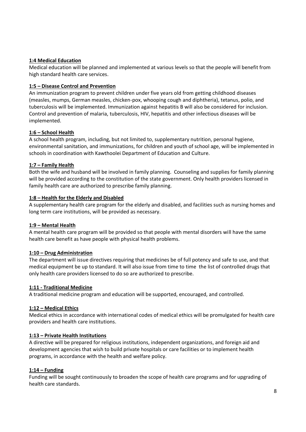#### **1:4 Medical Education**

Medical education will be planned and implemented at various levels so that the people will benefit from high standard health care services.

#### **1:5 – Disease Control and Prevention**

An immunization program to prevent children under five years old from getting childhood diseases (measles, mumps, German measles, chicken-pox, whooping cough and diphtheria), tetanus, polio, and tuberculosis will be implemented. Immunization against hepatitis B will also be considered for inclusion. Control and prevention of malaria, tuberculosis, HIV, hepatitis and other infectious diseases will be implemented.

### **1:6 – School Health**

A school health program, including, but not limited to, supplementary nutrition, personal hygiene, environmental sanitation, and immunizations, for children and youth of school age, will be implemented in schools in coordination with Kawthoolei Department of Education and Culture.

### **1:7 – Family Health**

Both the wife and husband will be involved in family planning. Counseling and supplies for family planning will be provided according to the constitution of the state government. Only health providers licensed in family health care are authorized to prescribe family planning.

#### **1:8 – Health for the Elderly and Disabled**

A supplementary health care program for the elderly and disabled, and facilities such as nursing homes and long term care institutions, will be provided as necessary.

#### **1:9 – Mental Health**

A mental health care program will be provided so that people with mental disorders will have the same health care benefit as have people with physical health problems.

#### **1:10 – Drug Administration**

The department will issue directives requiring that medicines be of full potency and safe to use, and that medical equipment be up to standard. It will also issue from time to time the list of controlled drugs that only health care providers licensed to do so are authorized to prescribe.

#### **1:11 - Traditional Medicine**

A traditional medicine program and education will be supported, encouraged, and controlled.

#### **1:12 – Medical Ethics**

Medical ethics in accordance with international codes of medical ethics will be promulgated for health care providers and health care institutions.

#### **1:13 – Private Health Institutions**

A directive will be prepared for religious institutions, independent organizations, and foreign aid and development agencies that wish to build private hospitals or care facilities or to implement health programs, in accordance with the health and welfare policy.

#### **1:14 – Funding**

Funding will be sought continuously to broaden the scope of health care programs and for upgrading of health care standards.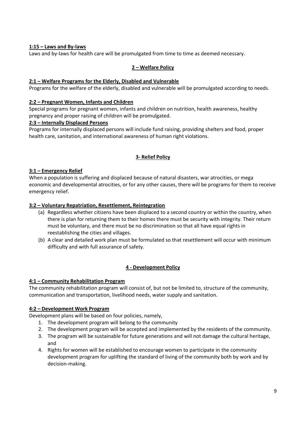#### **1:15 – Laws and By-laws**

Laws and by-laws for health care will be promulgated from time to time as deemed necessary.

#### **2 – Welfare Policy**

#### **2:1 – Welfare Programs for the Elderly, Disabled and Vulnerable**

Programs for the welfare of the elderly, disabled and vulnerable will be promulgated according to needs.

#### **2:2 – Pregnant Women, Infants and Children**

Special programs for pregnant women, infants and children on nutrition, health awareness, healthy pregnancy and proper raising of children will be promulgated.

#### **2:3 – Internally Displaced Persons**

Programs for internally displaced persons will include fund raising, providing shelters and food, proper health care, sanitation, and international awareness of human right violations.

#### **3- Relief Policy**

#### **3:1 – Emergency Relief**

When a population is suffering and displaced because of natural disasters, war atrocities, or mega economic and developmental atrocities, or for any other causes, there will be programs for them to receive emergency relief.

#### **3:2 – Voluntary Repatriation, Resettlement, Reintegration**

- (a) Regardless whether citizens have been displaced to a second country or within the country, when there is plan for returning them to their homes there must be security with integrity. Their return must be voluntary, and there must be no discrimination so that all have equal rights in reestablishing the cities and villages.
- (b) A clear and detailed work plan must be formulated so that resettlement will occur with minimum difficulty and with full assurance of safety.

#### **4 - Development Policy**

#### **4:1 – Community Rehabilitation Program**

The community rehabilitation program will consist of, but not be limited to, structure of the community, communication and transportation, livelihood needs, water supply and sanitation.

#### **4:2 – Development Work Program**

Development plans will be based on four policies, namely,

- 1. The development program will belong to the community
- 2. The development program will be accepted and implemented by the residents of the community.
- 3. The program will be sustainable for future generations and will not damage the cultural heritage, and
- 4. Rights for women will be established to encourage women to participate in the community development program for uplifting the standard of living of the community both by work and by decision-making.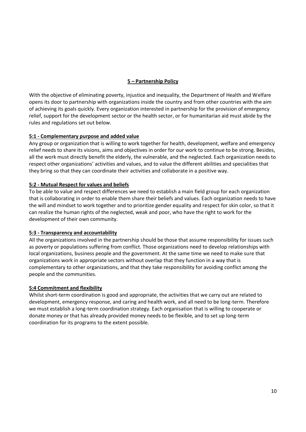### **5 – Partnership Policy**

With the objective of eliminating poverty, injustice and inequality, the Department of Health and Welfare opens its door to partnership with organizations inside the country and from other countries with the aim of achieving its goals quickly. Every organization interested in partnership for the provision of emergency relief, support for the development sector or the health sector, or for humanitarian aid must abide by the rules and regulations set out below.

#### **5:1 - Complementary purpose and added value**

Any group or organization that is willing to work together for health, development, welfare and emergency relief needs to share its visions, aims and objectives in order for our work to continue to be strong. Besides, all the work must directly benefit the elderly, the vulnerable, and the neglected. Each organization needs to respect other organizations' activities and values, and to value the different abilities and specialities that they bring so that they can coordinate their activities and collaborate in a positive way.

### **5:2 - Mutual Respect for values and beliefs**

To be able to value and respect differences we need to establish a main field group for each organization that is collaborating in order to enable them share their beliefs and values. Each organization needs to have the will and mindset to work together and to prioritize gender equality and respect for skin color, so that it can realize the human rights of the neglected, weak and poor, who have the right to work for the development of their own community.

#### **5:3 - Transparency and accountability**

All the organizations involved in the partnership should be those that assume responsibility for issues such as poverty or populations suffering from conflict. Those organizations need to develop relationships with local organizations, business people and the government. At the same time we need to make sure that organizations work in appropriate sectors without overlap that they function in a way that is complementary to other organizations, and that they take responsibility for avoiding conflict among the people and the communities.

#### **5:4 Commitment and flexibility**

Whilst short-term coordination is good and appropriate, the activities that we carry out are related to development, emergency response, and caring and health work, and all need to be long-term. Therefore we must establish a long-term coordination strategy. Each organisation that is willing to cooperate or donate money or that has already provided money needs to be flexible, and to set up long-term coordination for its programs to the extent possible.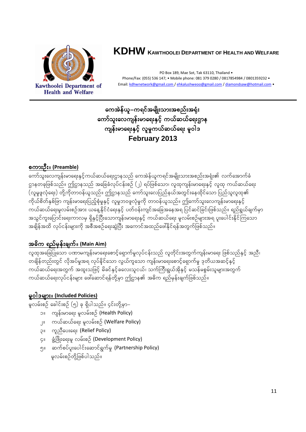

# **KDHW <sup>K</sup>AWTHOOLEI DEPARTMENT OF HEALTH AND WELFARE**

PO Box 189, Mae Sot, Tak 63110, Thailand • Phone/Fax: (055) 536 147; • Mobile phone: 081 379 0280 / 0817854984 / 0801359232 • Email[: kdhwnetwork@gmail.com /](mailto:kdhw@tttmaxnet.com) [ehkalushweoo@gmail.com](mailto:ehkalushweoo@gmail.com) [/ diamondsaw@hotmail.com](mailto:diamondsaw@hotmail.com) •

# ကေအဲန်ယူ–ကရင်အမျိုးသားအစည်းအရုံး ကော်သူးလေကျန်းမာရေးနှင့် ကယ်ဆယ်ရေးဌာန ကျန်းမာရေးနှင့် လူမှုကယ်ဆယ်ရေး မူဝါဒ **February 2013**

### စကားဦး။ (Preamble)

ကော်သူးလေကျန်းမာရေးနှင့်ကယ်ဆယ်ရေးဌာနသည် ကေအဲန်ယူကရင်အမျိုးသားအစည်းအရုံး၏ လက်အောက်ခံ ဌာနတခုဖြစ်သည်။ ဤဌာနသည် အခြေခံလုပ်ငန်းစဉ် (၂) ရပ်ဖြစ်သော၊ လူထုကျန်းမာရေးနှင့် လူထု ကယ်ဆယ်ရေး (လူမှုဖူလုံရေး) တို့ကိုတာဝန်ယူသည်။ ဤဌာနသည် ကော်သူးလေပြည်နယ်အတွင်းနေထိုင်သော ပြည်သူလူထု၏ ကိုယ်စိတ်နှစ်ဖြာ ကျန်းမာရေးပြည့်စုံမှုနှင့် လူမှုဘဝဖူလုံမှုကို တာဝန်ယူသည်။ ဤကော်သူးလေကျန်းမာရေးနှင့် ကယ်ဆယ်ရေးမှုလမ်းစဉ်အား ယနေ့နိုင်ငံရေးနှင့် ပတ်ဝန်းကျင်အခြေအနေအရ ပြင်ဆင်ခြင်းဖြစ်သည်။ ရည်ရွယ်ချက်မှာ အသွင်ကူးပြောင်းရေးကာလမှ ရှိနှင့်ပြီးသောကျန်းမာရေးနှင့် ကယ်ဆယ်ရေး မူလမ်းစဉ်များအရ ပူးပေါင်းနိုင်ကြသော အချိန်အထိ လုပ်ငန်းများကို အစီအစဉ်ရေးဆွဲပြီး အကောင်အထည်ဖေါ်နိုင်ရန်အတွက်ဖြစ်သည်။

# အဓိက ရည်မှန်းချက်။ (Main Aim)

vlxktajcjyKaom y%mrusef;rma&;apmifha&Smufr+vkyfief;onf vlwdkif;twGufusef;rma&; jzpfonfESifh tnD/ တချိန်တည်းတွင် လိုအပ်မှုအရ လုပ်နိုင်သော လွယ်ကူသော ကျန်းမာရေးစောင့်ရှောက်မှု ဒုတိယအဆင့်နှင့် ကယ်ဆယ်ရေးအတွက် အထူးသဖြင့် မိခင်နှင့်ခလေးသူငယ်၊ သက်ကြီးရွယ်အိုနှင့် မသန်မစွမ်းသူများအတွက် ကယ်ဆယ်ရေးလုပ်ငန်းများ ဖေါ်ဆောင်ရန်တို့မှာ ဤဌာန၏ အဓိက ရည်မှန်းချက်ဖြစ်သည်။

## မှုဝါဒများ။ (Included Policies)

မူလမ်းစဉ် ခေါင်းစဉ် (၅) ခု ရှိပါသည်။ ၄င်းတို့မှာ–

- ၁။ ကျန်းမာရေး မူလမ်းစဉ် (Health Policy)
- ၂။ ကယ်ဆယ်ရေး မူလမ်းစဉ် (Welfare Policy)
- ၃။ ကူညီပေးရေး (Relief Policy)
- ၄။ ဖွံ့ဖြိုးရေးမှု လမ်းစဉ် (Development Policy)
- ၅။ ဆက်စပ်ပူးပေါင်းဆောင်ရွက်မှု (Partnership Policy) မူလမ်းစဉ်တို့ဖြစ်ပါသည်။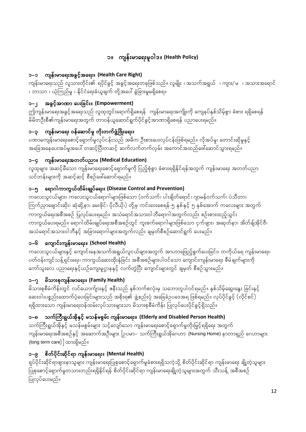# ာ။ ကျန်းမာရေးမူဝါဒ။ (Health Policy)

#### ကျန်းမာရေးအခွင့်အရေး။ (Health Care Right)  $C-C$

ကျန်းမာရေးသည် လူသားတိုင်း၏ ရပိုင်ခွင့် အခွင့်အရေးတခုဖြစ်သည်။ လူမျိုး ၊ အသက်အရွယ် ၊ ကျား/ မ ၊ အသားအရောင် ၊ ဘာသာ ၊ ယုံကြည်မှု ၊ နိုင်ငံရေးခံယူချက် တို့အပေါ် ခွဲခြားမှုမရှိစေရ။

# ာ–၂ အခွင့်အာဏာ ပေးခြင်း။ (Empowerment)

ဤကျန်းမာရေးအခွင့်အရေးသည် လူထုတွင်းရောက်ရှိစေရန် ကျန်းမာရေးအကျိုးကို ကျေနပ်နှစ်သိမ့်စွာ ခံစား ရရှိစေရန် မိမိတဦးစီ၏ကျန်းမာရေးအတွက် တာဝန်ယူဆောင်ရွက်ပိုင်ခွင့်အာဏာရှိစေရန် ပညာပေးရမည်။

# ၁–၃ ကျန်းမာရေး ဝန်ဆောင်မှု တိုးတက်ဖွံ့ဖြိုးရေး။

ပဏာမကျန်းမာရေးစောင့်ရှောက်မှုလုပ်ငန်းသည် အဓိက ဦးစားပေးလုပ်ငန်းဖြစ်ရမည်။ လိုအပ်မှု၊ တောင်းဆိုမှုနှင့် အခြေအနေပေးအပ်မှုအပေါ် တဆင့်ပြီးတဆင့် ဆက်လက်တက်လှမ်း အကောင်အထည်ဖေါ်ဆောင်သွားရမည်။

## ၁–၄ ကျန်းမာရေးအတတ်ပညာ။ (Medical Education)

လူထုများ အဆင့်မီသော ကျန်းမာရေးစောင့်ရှောက်မှုကို ပြည့်စုံစွာ ခံစားရရှိနိုင်ရန်အတွက် ကျန်းမာရေး အတတ်ပညာ သင်တန်းများကို အဆင့်ဆင့် စီစဉ်ဖေါ်ဆောင်ရမည်။

#### - ရောဂါကာကွယ်ထိမ်းချုပ်ရေး။ (Disease Control and Prevention) ว−ๆ

ကလေးသူငယ်များ၊ ကလေးသူငယ်ရောဂါများဖြစ်သော (ဝက်သက်၊ ပါးချိတ်ရောင်၊ ဂျာမန်ဝက်သက်၊ ပဲသီတာ၊ ကြွက်ညှာချောင်းဆိုး၊ ဆုံဆို့နာ၊ မေးခိုင်၊ ပိုလီယို၊) တို့မှ ကင်းဝေးစေရန် ၅ နှစ်နှင့် ၅ နှစ်အောက် ကလေးများ အတွက် ကာကွယ်ရေးအစီအစဉ် ပြုလုပ်ပေးရမည်။ အသဲရောင်အသားဝါဘီရောဂါအတွက်လည်း စဉ်းစားထည့်သွင်း ကာကွယ်ပေးရမည်။ ရောဂါထိမ်းချုပ်ရေးအစီအစဉ်တွင် ကူးစက်ရောဂါများဖြစ်သော ငှက်ဖျား၊ အဆုတ်နာ၊ အိတ်ချ်အိုင်ဗီ၊ အသဲရောင်အသားဝါဘီနှင့် အခြားရောဂါများအတွက်လည်း ချမှတ်စီစဉ်ဆောင်ရွက် ပေးမည်။

## ၁–၆ ကျောင်းကျန်းမာရေး။ (School Health)

ကလေးသူငယ်များနှင့် ကျောင်းနေအသက်အရွယ်လူငယ်များအတွက် အာဟာရဖြည့်စွက်ပေးခြင်း၊ တကိုယ်ရေ ကျန်းမာရေး၊ ပတ်ဝန်းကျင်သန့်ရှင်းရေး၊ ကာကွယ်ဆေးထိုးနှံခြင်း အစီအစဉ်များပါဝင်သော ကျောင်းကျန်းမာရေး စီမံချက်များကို ကော်သူးလေ ပညာရေးနှင့်ယဉ်ကျေးမှုဌာနနှင့် လက်တွဲပြီး ကျောင်းများတွင် ချမှတ် စီစဉ်သွားမည်။

# ာ $-\gamma$  မိသားစုကျန်းမာရေး။ (Family Health)

မိသားစုစီမံကိန်းတွင် လင်ယောက်ျားနှင့် ဧနီးသည် နှစ်ဘက်စလုံးမှ သဘောတူပါဝင်ရမည်။ နှစ်သိမ့်ဆွေးနွေး ခြင်းနှင့် ဆေးဝါးပစ္စည်းထောက်ပံ့ပေးခြင်းများသည် အစိုးရ၏ ဖွဲ့စည်းပုံ အခြေခံဥပဒေအရ ဖြစ်ရမည်။ လုပ်ပိုင်ခွင့် (လိုင်စင်) ရရှိထားသော ကျန်းမာရေးဝန်ထမ်းလုပ်သားများသာ မိသားစုစီမံကိန်း ပြုလုပ်ပေးပိုင်ခွင့်ရှိသည်။

## ာသက်ကြီးရွယ်အိုနှင့် မသန်မစွမ်း ကျန်းမာရေး။ (Elderly and Disabled Person Health)

သက်ကြီးရွယ်အိုနှင့် မသန်မစွမ်းများ သင့်လျော်သော ကျန်းမာရေးစောင့်ရှောက်မှုတိုးမြှင့်ရရှိရေး အတွက် ကျန်းမာရေးအစီအစဉ်နှင့် အဆောက်အဦးများ [ဉပမာ– သက်ကြီးရွယ်အိုဂေဟာ (Nursing Home) နာတာရှည် ဂေဟာများ (long term care) ] ထားရှိမည်။

## ာ–၉ စိတ်ပိုင်းဆိုင်ရာ ကျန်းမာရေး။ (Mental Health)

ရုပ်ပိုင်းဆိုင်ရာဖျားနာသူများ ကျန်းမာရေးပြုစုစောင့်ရောက်မှုခံစားရရှိသကဲ့သို့ စိတ်ပိုင်းဆိုင်ရာ ကျန်းမာရေး ချို့တဲ့သူများ ပြုစုစောင့်ရောက်မှုတသားတည်းရရှိနိုင်ရန် စိတ်ပိုင်းဆိုင်ရာ ကျန်းမာရေးချို့တဲ့သူများအတွက် သီးသန့် အစီအစဉ် ပြုလုပ်ပေးမည်။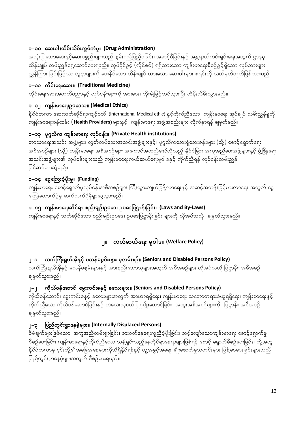### ၁–၁၀ ဆေးဝါးထိမ်းသိမ်းကွပ်ကဲမှု။ (Drug Administration)

အသုံးပြုသောဆေးနှင့်ဆေးပစ္စည်းများသည် စွမ်းရည်ပြည့်ဝခြင်း၊ အဆင့်မီခြင်းနှင့် အန္တရာယ်ကင်းရှင်းရေးအတွက် ဌာနမှ ထိန်းချုပ် လမ်းညွှန်ရေ့ဆောင်ပေးရမည်။ လုပ်ပိုင်ခွင့် (လိုင်စင်) ရရှိထားသော ကျန်းမာရေးစီစဉ်ခွင့်ရှိသော လုပ်သားများ ညွှန်ကြား ခြင်းဖြင့်သာ လူနာများကို ပေးနိုင်သော ထိန်းချုပ် ထားသော ဆေးဝါးများ စရင်းကို သတ်မှတ်ထုတ်ပြန်ထားမည်။

### ာ–၁၁ တိုင်းရေးဆေး။ (Traditional Medicine)

တိုင်းရေးဆေးအတတ်ပညာနှင့် လုပ်ငန်းများကို အားပေး၊ တိုးချဲ့မြှင့်တင်သွားပြီး ထိန်းသိမ်းသွားမည်။

### ၁–၁၂ ကျန်းမာရေးဥပဒေသ။ (Medical Ethics)

နိုင်ငံတကာ ဆေးဘက်ဆိုင်ရာကျင့်ဝတ် (International Medical ethic) နှင့်ကိုက်ညီသော ကျန်းမာရေး အုပ်ချုပ် လမ်းညွှန်မှုကို ကျန်းမာရေးဝန်ထမ်း ( **Health Providers)** များနှင့် ကျန်းမာရေး အဖွဲ့အစည်းများ လိုက်နာရန် ချမှတ်မည်။

### ၁–၁၃ ပုဂ္ဂလိက ကျန်းမာရေး လုပ်ငန်း။ (Private Health institutions)

ဘာသာရေးအသင်း အဖွဲ့များ၊ လွတ်လပ်သောအသင်းအဖွဲ့များနှင့်၊ ပုဂ္ဂလိကဆေးရုံဆေးခန်းများ (သို့) စောင့်ရှောက်ရေး အစီအစဉ်များ (သို့) ကျန်းမာရေး အစီအစဉ်များ အကောင်အထည်ဖော်လိုသည့် နိုင်ငံခြား အကူအညီပေးအဖွဲ့များနှင့် ဖွံ့ဖြိုးရေး အသင်းအဖွဲ့များ၏ လုပ်ငန်းများသည် ကျန်းမာရေးကယ်ဆယ်ရေးမူဝါဒနှင့် ကိုက်ညီရန် လုပ်ငန်းလမ်းညွှန် ပြင်ဆင်ရေးဆွဲမည်။

## ၁–၁၄ ငွေကြေးပံ့ပိုးမှု။ (Funding)

ကျန်းမာရေး စောင့်ရှောက်မှုလုပ်ငန်းအစီအစဉ်များ ကြီးထွားကျယ်ပြန့်လာရေးနှင့် အဆင့်အတန်းမြင့်မားလာရေး အတွက် ငွေ ကြေးထောက်ပံ့မှု ဆက်လက်ပိုမိုရှာဖွေသွားမည်။

### ာ–၁၅ ကျန်းမာရေးဆိုင်ရာ စည်းမျဉ်းဥပဒေ၊ ဥပဒေပြဋ္ဌာန်းခြင်း။ (Laws and By-Laws)

ကျန်းမာရေးနှင့် သက်ဆိုင်သော စည်းမျဉ်းဥပဒေ၊ ဥပဒေပြဋ္ဌာန်းခြင်း များကို လိုအပ်သလို ချမှတ်သွားမည်။

# ၂။ ကယ်ဆယ်ရေး မူဝါဒ။ (Welfare Policy)

#### သက်ကြီးရွယ်အိုနှင့် မသန်မစွမ်းများ မူလမ်းစဉ်။ (Seniors and Disabled Persons Policy)  $C=$

သက်ကြီးရွယ်အိုနှင့် မသန်မစွမ်းများနှင့် အားနည်းသောသူများအတွက် အစီအစဉ်များ လိုအပ်သလို ပြဋ္ဌာန်း အစီအစဉ် ချမှတ်သွားမည်။

#### ကိုယ်ဝန်ဆောင်၊ မွေးကင်းစနှင့် ခလေးများ။ (Seniors and Disabled Persons Policy)  $\mathbf{I}^{\perp}$

ကိုယ်ဝန်ဆောင်၊ မွေးကင်းစနှင့် ခလေးများအတွက် အာဟာရရှိရေး၊ ကျန်းမာရေး သဘောတရားခံယူရရှိရေး၊ ကျန်းမာရေးနှင့် ကိုက်ညီသော ကိုယ်ဝန်ဆောင်ခြင်းနှင့် ကလေးသူငယ်ပြုစုပျိုးထောင်ခြင်း အထူးအစီအစဉ်များကို ပြဋ္ဌာန်း အစီအစဉ် ချမှတ်သွားမည်။

#### ပြည်တွင်းဌာနေမဲ့များ။ (Internally Displaced Persons)  $9 - 1$

စီမံချက်များဖြစ်သော၊ အကူအညီလမ်းရှာခြင်း၊ စားဝတ်နေရေးကူညီပံ့ပိုးခြင်း၊ သင့်လျော်သောကျန်းမာရေး စောင့်ရှောက်မှု စီစဉ်ပေးခြင်း၊ ကျန်းမာရေးနှင့်ကိုက်ညီသော သန့်ရှင်းသည့်နေထိုင်ရာနေရာများဖြစ်ရန် စောင့် ရှောက်စီစဉ်ပေးခြင်း၊ ထို့အတူ နိုင်ငံတကာမှ ၄င်းတို့၏အခြေအနေများကိုသိရှိနိုင်ရန်နှင့် လူ့အခွင့်အရေး ချိုးဖောက်မှုသတင်းများ ဖြန့်ဝေပေးခြင်းများသည် ပြည်တွင်းဌာနေမဲ့များအတွက် စီစဉ်ပေးရမည်။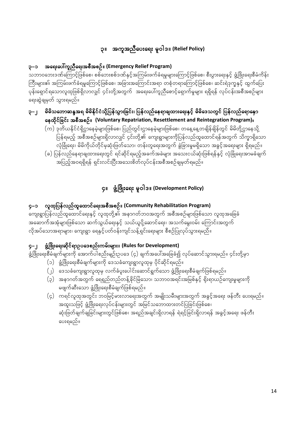# ၃။ အကူအညီပေးရေး မူဝါဒ။ (Relief Policy)

### ၃–၁ အရေးပေါ်ကူညီရေးအစီအစဉ်။ (Emergency Relief Program)

သဘာဝဘေးဒဏ်ကြောင့်ဖြစ်စေ၊ စစ်ဘေးစစ်ဒဏ်နှင့်အကြမ်းဖက်ခံရမှုများကြောင့်ဖြစ်စေ၊ စီးပွားရေးနှင့် ဖွံ့ဖြိုးရေးစီမံကိန်း ကြီးများ၏ အကြမ်းဖက်ခံရမှုကြောင့်ဖြစ်စေ၊ အခြားအကြောင်းအရာ တစုံတရာကြောင့်ဖြစ်စေ၊ ဆင်းရဲဒုက္ခနှင့် ထွက်ပြေး ပုန်းရှောင်ရသောလူထုဖြစ်ရှိလာလျင် ၄င်းတို့အတွက် အရေးပေါ်ကူညီစောင့်ရှောက်မှုများ ရရှိရန် လုပ်ငန်းအစီအစဉ်များ ရေးဆွဲချမှတ် သွားရမည်။

#### မိမိသဘောဆန္ဒအရ မိမိနိုင်ငံသို့ပြန်သွားခြင်း၊ ပြန်လည်နေရာချထားရေးနှင့် မိမိဒေသတွင် ပြန်လည်ရောနှော  $1 - 5$ နေထိုင်ခြင်း အစီအစဉ်။ (Voluntary Repatriation, Resettlement and Reintegration Program)။

- (က) ဒုတိယနိုင်ငံရှိဌာနေမဲ့များဖြစ်စေ၊ ပြည်တွင်းဌာနေမဲ့များဖြစ်စေ၊ တနေ့နေ့တချိန်ချိန်တွင် မိမိတို့ဌာနေသို့ ပြန်ရမည့် အစီအစဉ်များရှိလာလျင် ၄င်းတို့၏ ကျေးရွာများကိုပြန်လည်ထူထောင်ရန်အတွက် သိက္ခာရှိသော လုံခြုံရေး၊ မိမိကိုယ်တိုင်မုဆုံးဖြတ်သော၊ တန်းတူရေးအတွက် ခွဲခြားမှုမရှိသော အခွင့်အရေးများ ရှိရမည်။
- (ခ) ပြန်လည်နေရာချထားရေးတွင် ရင်ဆိုင်ရမည့်အခက်အခဲများ အသေးငယ်ဆုံးဖြစ်ရန်နှင့် လုံခြုံရေးအာမခံချက် အပြည့်အဝရရှိရန် ရှင်းလင်းပြီးအသေးစိတ်လုပ်ငန်းအစီအစဉ်ချမှတ်ရမည်။

## ၄။ ဖွံ့ဖြိုးရေး မူဝါဒ။ (Development Policy)

### ၄–၁ လူထုပြန်လည်ထူထောင်ရေးအစီအစဉ်။ (Community Rehabilitation Program)

ကျေးရွာပြန်လည်ထူထောင်ရေးနှင့် လူထုတို့၏ အနာဂတ်ဘဝအတွက် အစီအစဉ်များဖြစ်သော လူထုအခြေခံ .<br>အဆောက်အအုံများဖြစ်သော ဆက်သွယ်ရေးနှင့် သယ်ယူပို့ဆောင်ရေး၊ အသက်မွေးဝမ်း ကြောင်းအတွက် လိုအပ်သောအရာများ၊ ကျေးရွာ ရေနှင့်ပတ်ဝန်းကျင်သန့်ရှင်းရေးများ စီစဉ်ပြုလုပ်သွားရမည်။

#### ဖွံ့ဖြိုးရေးဆိုင်ရာဥပဒေစည်းကမ်းများ။ (Rules for Development)  $g-1$

ဖွံ့ဖြိုးရေးစီမံချက်များကို အောက်ပါစည်းမျဉ်းဥပဒေ (၄) ချက်အပေါ်အခြေခံ၍ လုပ်ဆောင်သွားရမည်။ ၄င်းတို့မှာ

- (၁) ဖွံ့ဖြိုးရေးစီမံချက်များကို ဒေသခံကျေးရွာလူထုမှ ပိုင်ဆိုင်ရမည်။
- (၂) ဒေသခံကျေးရွာလူထုမှ လက်ခံပူးပေါင်းဆောင်ရွက်သော ဖွံ့ဖြိုးရေးစီမံချက်ဖြစ်ရမည်။
- (၃) အနာဂတ်အတွက် ရေရှည်တည်တန့်ခိုင်မြဲသော၊ သဘာဝအရင်းအမြစ်နှင့် ရိုးရာယဉ်ကျေးမှုများကို မဖျက်ဆီးသော ဖွံ့ဖြိုးရေးစီမံချက်ဖြစ်ရမည်။
- (၄) ကရင်လူထုအတွင်း ဘဝမြင့်မားလာရေးအတွက် အမျိုးသမီးများအတွက် အခွင့်အရေး ဖန်တီး ပေးရမည်။ အထူးသဖြင့် ဖွံ့ဖြိုးရေးလုပ်ငန်းများတွင် အမြင်သဘောထားတင်ပြခြင်းဖြစ်စေ၊ ဆုံးဖြတ်ချက်ချခြင်းများတွင်ဖြစ်စေ၊ အရည်အချင်းရှိလာရန် ရဲရင့်ခြင်းရှိလာရန် အခွင့်အရေး ဖန်တီး ပေးရမည်။